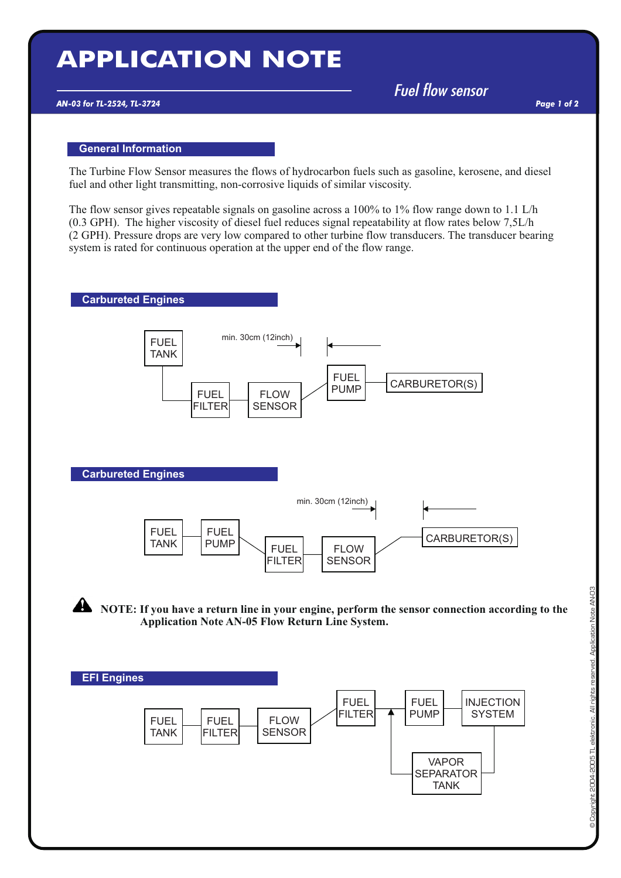# **APPLICATION NOTE**

## *AN-03 for TL-2524, TL-3724*

*Fuel flow sensor*

*Page 1 of 2*

### **General Information**

The Turbine Flow Sensor measures the flows of hydrocarbon fuels such as gasoline, kerosene, and diesel fuel and other light transmitting, non-corrosive liquids of similar viscosity.

The flow sensor gives repeatable signals on gasoline across a 100% to 1% flow range down to 1.1 L/h (0.3 GPH). The higher viscosity of diesel fuel reduces signal repeatability at flow rates below 7,5L/h (2 GPH). Pressure drops are very low compared to other turbine flow transducers. The transducer bearing system is rated for continuous operation at the upper end of the flow range.